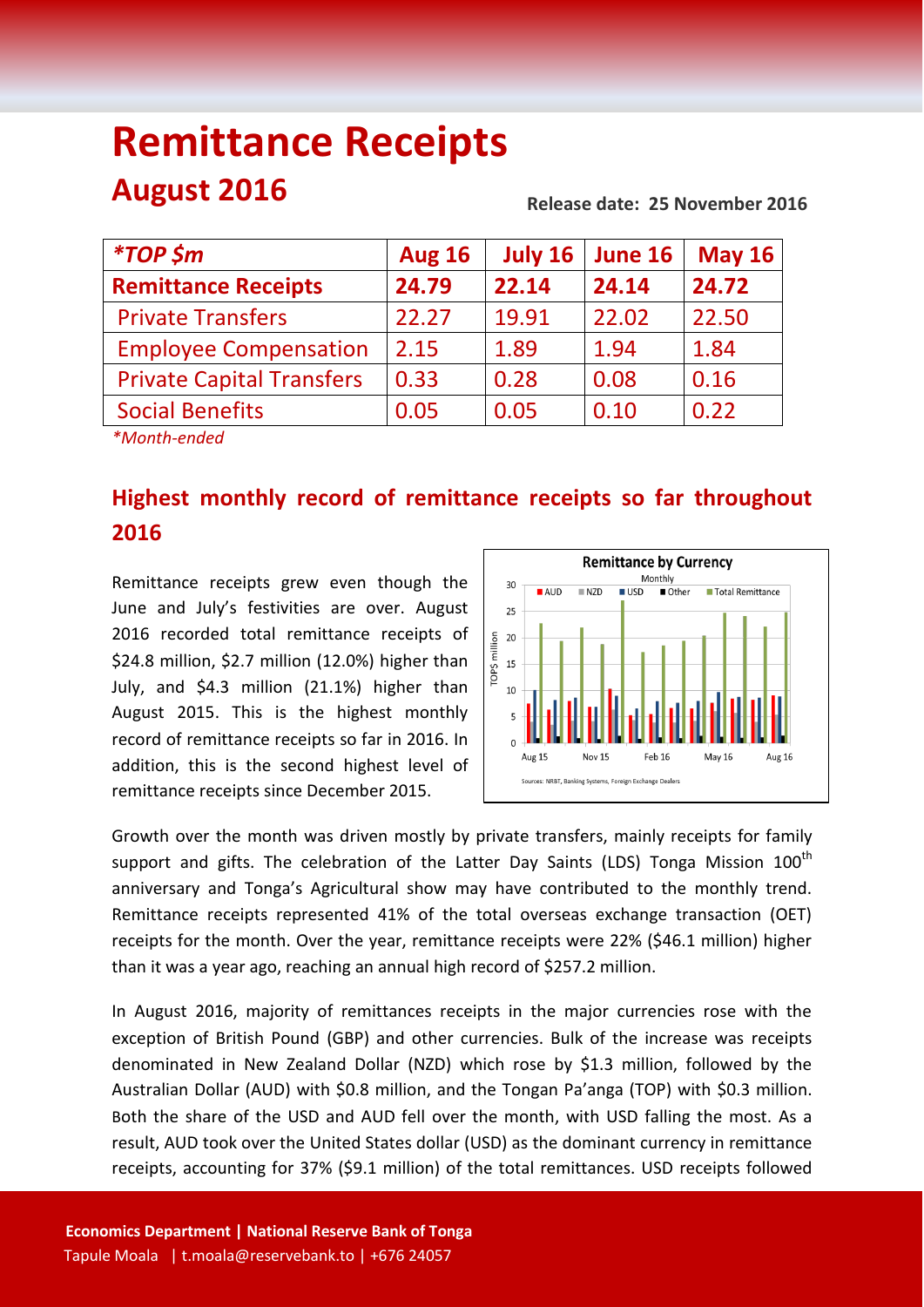# **Remittance Receipts August 2016 Release date: 25 November 2016**

| <i><b>*TOP</b></i> \$m                                       | <b>Aug 16</b> | July 16 | June 16 | <b>May 16</b> |  |
|--------------------------------------------------------------|---------------|---------|---------|---------------|--|
| <b>Remittance Receipts</b>                                   | 24.79         | 22.14   | 24.14   | 24.72         |  |
| <b>Private Transfers</b>                                     | 22.27         | 19.91   | 22.02   | 22.50         |  |
| <b>Employee Compensation</b>                                 | 2.15          | 1.89    | 1.94    | 1.84          |  |
| <b>Private Capital Transfers</b>                             | 0.33          | 0.28    | 0.08    | 0.16          |  |
| <b>Social Benefits</b>                                       | 0.05          | 0.05    | 0.10    | 0.22          |  |
| $\forall x \in \mathbb{R}$ , we can be a set of $\mathbb{R}$ |               |         |         |               |  |

*\*Month-ended*

## **Highest monthly record of remittance receipts so far throughout 2016**

Remittance receipts grew even though the June and July's festivities are over. August 2016 recorded total remittance receipts of \$24.8 million, \$2.7 million (12.0%) higher than July, and \$4.3 million (21.1%) higher than August 2015. This is the highest monthly record of remittance receipts so far in 2016. In addition, this is the second highest level of remittance receipts since December 2015.



Growth over the month was driven mostly by private transfers, mainly receipts for family support and gifts. The celebration of the Latter Day Saints (LDS) Tonga Mission 100<sup>th</sup> anniversary and Tonga's Agricultural show may have contributed to the monthly trend. Remittance receipts represented 41% of the total overseas exchange transaction (OET) receipts for the month. Over the year, remittance receipts were 22% (\$46.1 million) higher than it was a year ago, reaching an annual high record of \$257.2 million.

In August 2016, majority of remittances receipts in the major currencies rose with the exception of British Pound (GBP) and other currencies. Bulk of the increase was receipts denominated in New Zealand Dollar (NZD) which rose by \$1.3 million, followed by the Australian Dollar (AUD) with \$0.8 million, and the Tongan Pa'anga (TOP) with \$0.3 million. Both the share of the USD and AUD fell over the month, with USD falling the most. As a result, AUD took over the United States dollar (USD) as the dominant currency in remittance receipts, accounting for 37% (\$9.1 million) of the total remittances. USD receipts followed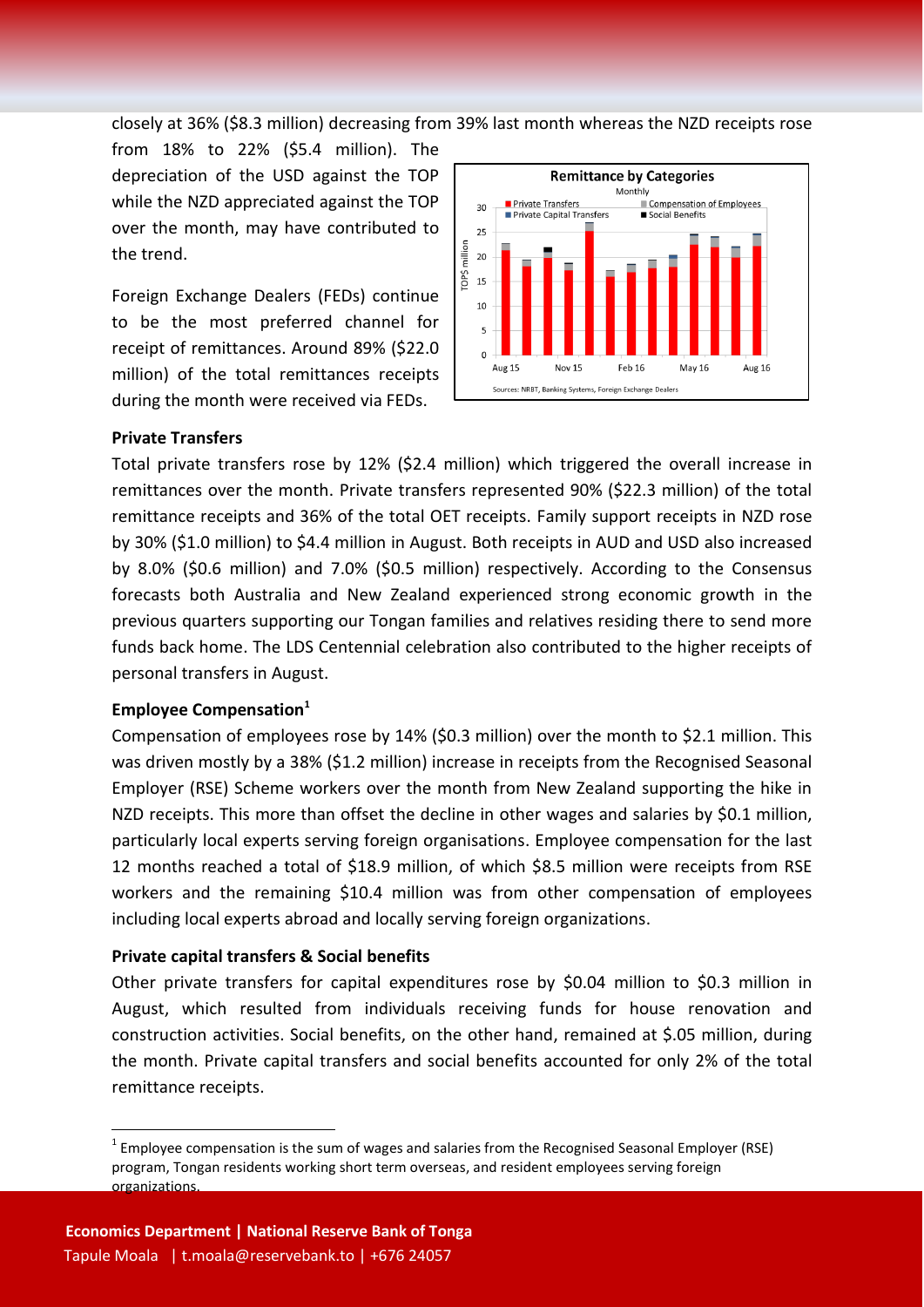closely at 36% (\$8.3 million) decreasing from 39% last month whereas the NZD receipts rose

from 18% to 22% (\$5.4 million). The depreciation of the USD against the TOP while the NZD appreciated against the TOP over the month, may have contributed to the trend.

Foreign Exchange Dealers (FEDs) continue to be the most preferred channel for receipt of remittances. Around 89% (\$22.0 million) of the total remittances receipts during the month were received via FEDs.



#### **Private Transfers**

Total private transfers rose by 12% (\$2.4 million) which triggered the overall increase in remittances over the month. Private transfers represented 90% (\$22.3 million) of the total remittance receipts and 36% of the total OET receipts. Family support receipts in NZD rose by 30% (\$1.0 million) to \$4.4 million in August. Both receipts in AUD and USD also increased by 8.0% (\$0.6 million) and 7.0% (\$0.5 million) respectively. According to the Consensus forecasts both Australia and New Zealand experienced strong economic growth in the previous quarters supporting our Tongan families and relatives residing there to send more funds back home. The LDS Centennial celebration also contributed to the higher receipts of personal transfers in August.

### **Employee Compensation<sup>1</sup>**

Compensation of employees rose by 14% (\$0.3 million) over the month to \$2.1 million. This was driven mostly by a 38% (\$1.2 million) increase in receipts from the Recognised Seasonal Employer (RSE) Scheme workers over the month from New Zealand supporting the hike in NZD receipts. This more than offset the decline in other wages and salaries by \$0.1 million, particularly local experts serving foreign organisations. Employee compensation for the last 12 months reached a total of \$18.9 million, of which \$8.5 million were receipts from RSE workers and the remaining \$10.4 million was from other compensation of employees including local experts abroad and locally serving foreign organizations.

#### **Private capital transfers & Social benefits**

Other private transfers for capital expenditures rose by \$0.04 million to \$0.3 million in August, which resulted from individuals receiving funds for house renovation and construction activities. Social benefits, on the other hand, remained at \$.05 million, during the month. Private capital transfers and social benefits accounted for only 2% of the total remittance receipts.

**.** 

 $1$  Employee compensation is the sum of wages and salaries from the Recognised Seasonal Employer (RSE) program, Tongan residents working short term overseas, and resident employees serving foreign organizations.